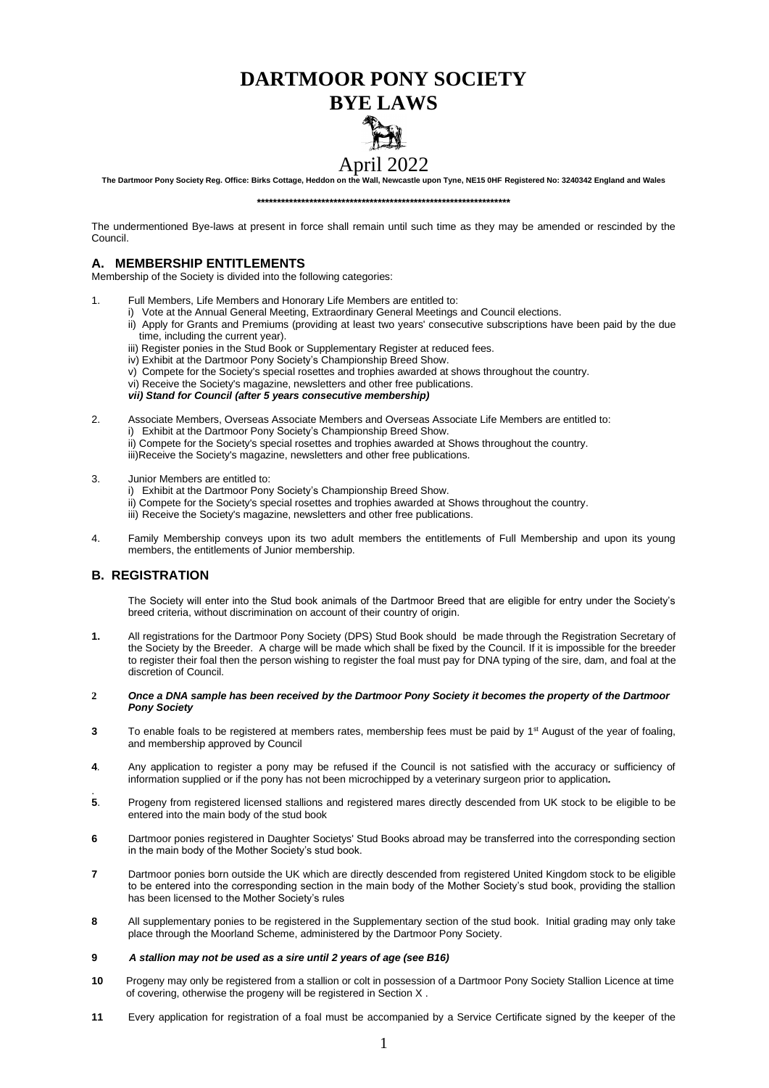# **DARTMOOR PONY SOCIETY**

## **BYE LAWS**

## April 2022

**The Dartmoor Pony Society Reg. Office: Birks Cottage, Heddon on the Wall, Newcastle upon Tyne, NE15 0HF Registered No: 3240342 England and Wales**

**\*\*\*\*\*\*\*\*\*\*\*\*\*\*\*\*\*\*\*\*\*\*\*\*\*\*\*\*\*\*\*\*\*\*\*\*\*\*\*\*\*\*\*\*\*\*\*\*\*\*\*\*\*\*\*\*\*\*\*\*\*\*\***

The undermentioned Bye-laws at present in force shall remain until such time as they may be amended or rescinded by the Council.

## **A. MEMBERSHIP ENTITLEMENTS**

Membership of the Society is divided into the following categories:

- 1. Full Members, Life Members and Honorary Life Members are entitled to:
	- i) Vote at the Annual General Meeting, Extraordinary General Meetings and Council elections.
		- ii) Apply for Grants and Premiums (providing at least two years' consecutive subscriptions have been paid by the due time, including the current year).
		- iii) Register ponies in the Stud Book or Supplementary Register at reduced fees.
		- iv) Exhibit at the Dartmoor Pony Society's Championship Breed Show.
		- v) Compete for the Society's special rosettes and trophies awarded at shows throughout the country.
		- vi) Receive the Society's magazine, newsletters and other free publications.
		- *vii) Stand for Council (after 5 years consecutive membership)*
- 2. Associate Members, Overseas Associate Members and Overseas Associate Life Members are entitled to: i) Exhibit at the Dartmoor Pony Society's Championship Breed Show. ii) Compete for the Society's special rosettes and trophies awarded at Shows throughout the country.
	- iii)Receive the Society's magazine, newsletters and other free publications.
- 3. Junior Members are entitled to:
	- i) Exhibit at the Dartmoor Pony Society's Championship Breed Show.
	- ii) Compete for the Society's special rosettes and trophies awarded at Shows throughout the country.
	- iii) Receive the Society's magazine, newsletters and other free publications.
- 4. Family Membership conveys upon its two adult members the entitlements of Full Membership and upon its young members, the entitlements of Junior membership.

## **B. REGISTRATION**

The Society will enter into the Stud book animals of the Dartmoor Breed that are eligible for entry under the Society's breed criteria, without discrimination on account of their country of origin.

**1.** All registrations for the Dartmoor Pony Society (DPS) Stud Book should be made through the Registration Secretary of the Society by the Breeder. A charge will be made which shall be fixed by the Council. If it is impossible for the breeder to register their foal then the person wishing to register the foal must pay for DNA typing of the sire, dam, and foal at the discretion of Council.

#### **2** *Once a DNA sample has been received by the Dartmoor Pony Society it becomes the property of the Dartmoor Pony Society*

- **3** To enable foals to be registered at members rates, membership fees must be paid by 1<sup>st</sup> August of the year of foaling, and membership approved by Council
- **4***.* Any application to register a pony may be refused if the Council is not satisfied with the accuracy or sufficiency of information supplied or if the pony has not been microchipped by a veterinary surgeon prior to application*.*
- . **5**. Progeny from registered licensed stallions and registered mares directly descended from UK stock to be eligible to be entered into the main body of the stud book
- **6** Dartmoor ponies registered in Daughter Societys' Stud Books abroad may be transferred into the corresponding section in the main body of the Mother Society's stud book.
- **7** Dartmoor ponies born outside the UK which are directly descended from registered United Kingdom stock to be eligible to be entered into the corresponding section in the main body of the Mother Society's stud book, providing the stallion has been licensed to the Mother Society's rules
- **8** All supplementary ponies to be registered in the Supplementary section of the stud book. Initial grading may only take place through the Moorland Scheme, administered by the Dartmoor Pony Society.

## **9** *A stallion may not be used as a sire until 2 years of age (see B16)*

- **10** Progeny may only be registered from a stallion or colt in possession of a Dartmoor Pony Society Stallion Licence at time of covering, otherwise the progeny will be registered in Section X .
- **11** Every application for registration of a foal must be accompanied by a Service Certificate signed by the keeper of the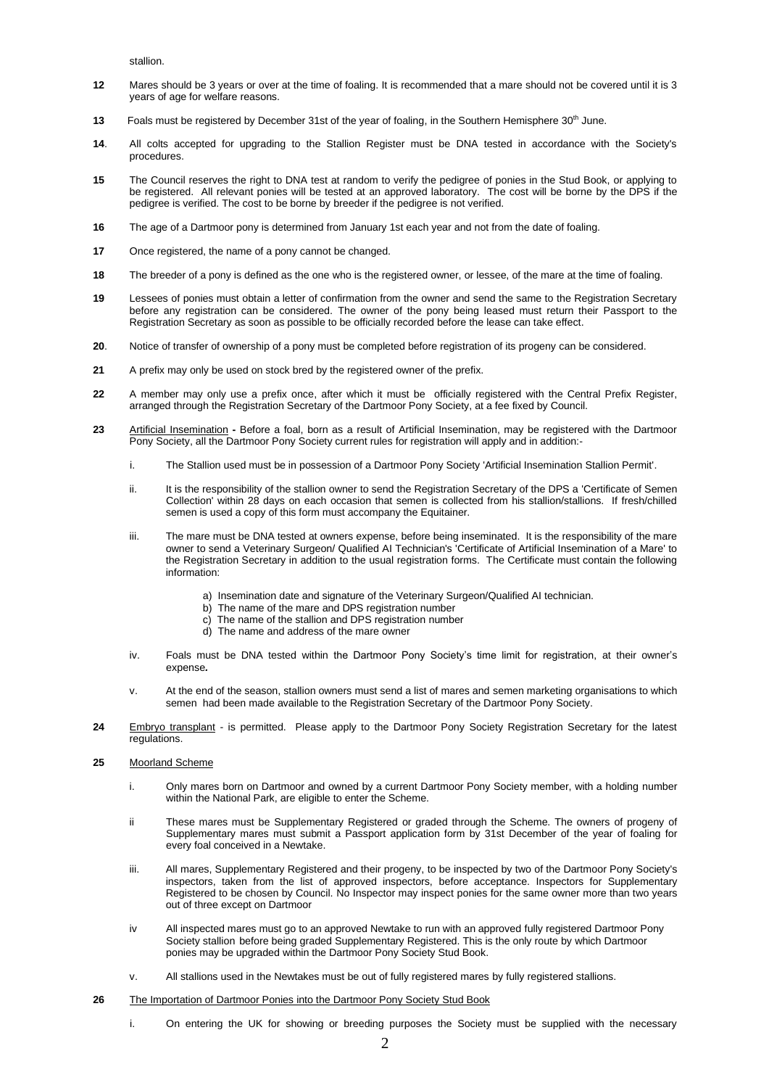stallion.

- **12** Mares should be 3 years or over at the time of foaling. It is recommended that a mare should not be covered until it is 3 years of age for welfare reasons.
- **13** Foals must be registered by December 31st of the year of foaling, in the Southern Hemisphere 30<sup>th</sup> June.
- **14**. All colts accepted for upgrading to the Stallion Register must be DNA tested in accordance with the Society's procedures.
- **15** The Council reserves the right to DNA test at random to verify the pedigree of ponies in the Stud Book, or applying to be registered. All relevant ponies will be tested at an approved laboratory. The cost will be borne by the DPS if the pedigree is verified. The cost to be borne by breeder if the pedigree is not verified.
- **16** The age of a Dartmoor pony is determined from January 1st each year and not from the date of foaling.
- **17** Once registered, the name of a pony cannot be changed.
- **18** The breeder of a pony is defined as the one who is the registered owner, or lessee, of the mare at the time of foaling.
- **19** Lessees of ponies must obtain a letter of confirmation from the owner and send the same to the Registration Secretary before any registration can be considered. The owner of the pony being leased must return their Passport to the Registration Secretary as soon as possible to be officially recorded before the lease can take effect.
- **20**. Notice of transfer of ownership of a pony must be completed before registration of its progeny can be considered.
- **21** A prefix may only be used on stock bred by the registered owner of the prefix.
- **22** A member may only use a prefix once, after which it must be officially registered with the Central Prefix Register, arranged through the Registration Secretary of the Dartmoor Pony Society, at a fee fixed by Council.
- **23** Artificial Insemination **-** Before a foal, born as a result of Artificial Insemination, may be registered with the Dartmoor Pony Society, all the Dartmoor Pony Society current rules for registration will apply and in addition:
	- i. The Stallion used must be in possession of a Dartmoor Pony Society 'Artificial Insemination Stallion Permit'.
	- ii. It is the responsibility of the stallion owner to send the Registration Secretary of the DPS a 'Certificate of Semen Collection' within 28 days on each occasion that semen is collected from his stallion/stallions. If fresh/chilled semen is used a copy of this form must accompany the Equitainer.
	- iii. The mare must be DNA tested at owners expense, before being inseminated. It is the responsibility of the mare owner to send a Veterinary Surgeon/ Qualified AI Technician's 'Certificate of Artificial Insemination of a Mare' to the Registration Secretary in addition to the usual registration forms. The Certificate must contain the following information:
		- a) Insemination date and signature of the Veterinary Surgeon/Qualified AI technician.
		- b) The name of the mare and DPS registration number
		- c) The name of the stallion and DPS registration number
		- d) The name and address of the mare owner
	- iv. Foals must be DNA tested within the Dartmoor Pony Society's time limit for registration, at their owner's expense*.*
	- v. At the end of the season, stallion owners must send a list of mares and semen marketing organisations to which semen had been made available to the Registration Secretary of the Dartmoor Pony Society.
- **24** Embryo transplant is permitted. Please apply to the Dartmoor Pony Society Registration Secretary for the latest regulations.

## **25** Moorland Scheme

- i. Only mares born on Dartmoor and owned by a current Dartmoor Pony Society member, with a holding number within the National Park, are eligible to enter the Scheme.
- ii These mares must be Supplementary Registered or graded through the Scheme. The owners of progeny of Supplementary mares must submit a Passport application form by 31st December of the year of foaling for every foal conceived in a Newtake.
- iii. All mares, Supplementary Registered and their progeny, to be inspected by two of the Dartmoor Pony Society's inspectors, taken from the list of approved inspectors, before acceptance. Inspectors for Supplementary Registered to be chosen by Council. No Inspector may inspect ponies for the same owner more than two years out of three except on Dartmoor
- iv All inspected mares must go to an approved Newtake to run with an approved fully registered Dartmoor Pony Society stallion before being graded Supplementary Registered. This is the only route by which Dartmoor ponies may be upgraded within the Dartmoor Pony Society Stud Book.
- v. All stallions used in the Newtakes must be out of fully registered mares by fully registered stallions.
- **26** The Importation of Dartmoor Ponies into the Dartmoor Pony Society Stud Book
	- i. On entering the UK for showing or breeding purposes the Society must be supplied with the necessary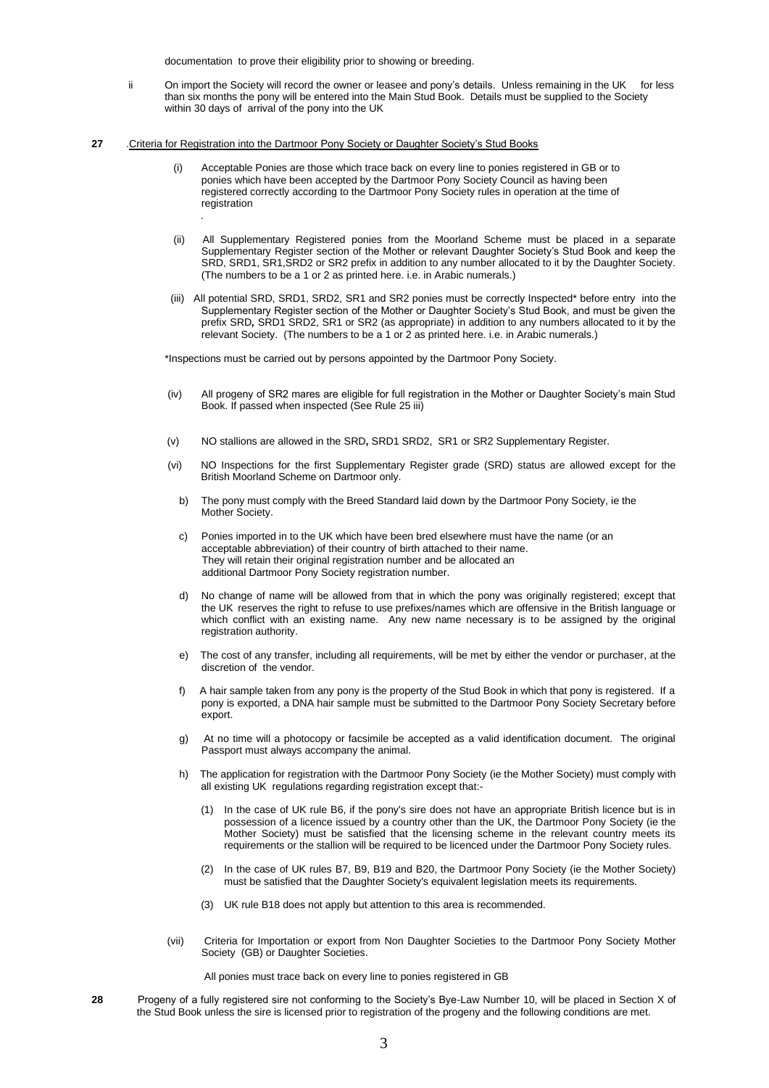documentation to prove their eligibility prior to showing or breeding.

- ii On import the Society will record the owner or leasee and pony's details. Unless remaining in the UK for less than six months the pony will be entered into the Main Stud Book. Details must be supplied to the Society within 30 days of arrival of the pony into the UK
- **27** .Criteria for Registration into the Dartmoor Pony Society or Daughter Society's Stud Books

.

- (i) Acceptable Ponies are those which trace back on every line to ponies registered in GB or to ponies which have been accepted by the Dartmoor Pony Society Council as having been registered correctly according to the Dartmoor Pony Society rules in operation at the time of registration
- (ii) All Supplementary Registered ponies from the Moorland Scheme must be placed in a separate Supplementary Register section of the Mother or relevant Daughter Society's Stud Book and keep the SRD, SRD1, SR1,SRD2 or SR2 prefix in addition to any number allocated to it by the Daughter Society. (The numbers to be a 1 or 2 as printed here. i.e. in Arabic numerals.)
- (iii) All potential SRD, SRD1, SRD2, SR1 and SR2 ponies must be correctly Inspected\* before entry into the Supplementary Register section of the Mother or Daughter Society's Stud Book, and must be given the prefix SRD*,* SRD1 SRD2, SR1 or SR2 (as appropriate) in addition to any numbers allocated to it by the relevant Society. (The numbers to be a 1 or 2 as printed here. i.e. in Arabic numerals.)

\*Inspections must be carried out by persons appointed by the Dartmoor Pony Society.

- (iv) All progeny of SR2 mares are eligible for full registration in the Mother or Daughter Society's main Stud Book. If passed when inspected (See Rule 25 iii)
- (v) NO stallions are allowed in the SRD**,** SRD1 SRD2, SR1 or SR2 Supplementary Register.
- (vi) NO Inspections for the first Supplementary Register grade (SRD) status are allowed except for the British Moorland Scheme on Dartmoor only.
	- b) The pony must comply with the Breed Standard laid down by the Dartmoor Pony Society, ie the Mother Society.
	- c) Ponies imported in to the UK which have been bred elsewhere must have the name (or an acceptable abbreviation) of their country of birth attached to their name. They will retain their original registration number and be allocated an additional Dartmoor Pony Society registration number.
	- d) No change of name will be allowed from that in which the pony was originally registered; except that the UK reserves the right to refuse to use prefixes/names which are offensive in the British language or which conflict with an existing name. Any new name necessary is to be assigned by the original registration authority.
	- e) The cost of any transfer, including all requirements, will be met by either the vendor or purchaser, at the discretion of the vendor.
	- f) A hair sample taken from any pony is the property of the Stud Book in which that pony is registered. If a pony is exported, a DNA hair sample must be submitted to the Dartmoor Pony Society Secretary before export.
	- g) At no time will a photocopy or facsimile be accepted as a valid identification document. The original Passport must always accompany the animal.
	- h) The application for registration with the Dartmoor Pony Society (ie the Mother Society) must comply with all existing UK regulations regarding registration except that:-
		- (1) In the case of UK rule B6, if the pony's sire does not have an appropriate British licence but is in possession of a licence issued by a country other than the UK, the Dartmoor Pony Society (ie the Mother Society) must be satisfied that the licensing scheme in the relevant country meets its requirements or the stallion will be required to be licenced under the Dartmoor Pony Society rules.
		- (2) In the case of UK rules B7, B9, B19 and B20, the Dartmoor Pony Society (ie the Mother Society) must be satisfied that the Daughter Society's equivalent legislation meets its requirements.
		- (3) UK rule B18 does not apply but attention to this area is recommended.
- (vii) Criteria for Importation or export from Non Daughter Societies to the Dartmoor Pony Society Mother Society (GB) or Daughter Societies.

All ponies must trace back on every line to ponies registered in GB

**28**Progeny of a fully registered sire not conforming to the Society's Bye-Law Number 10, will be placed in Section X of the Stud Book unless the sire is licensed prior to registration of the progeny and the following conditions are met.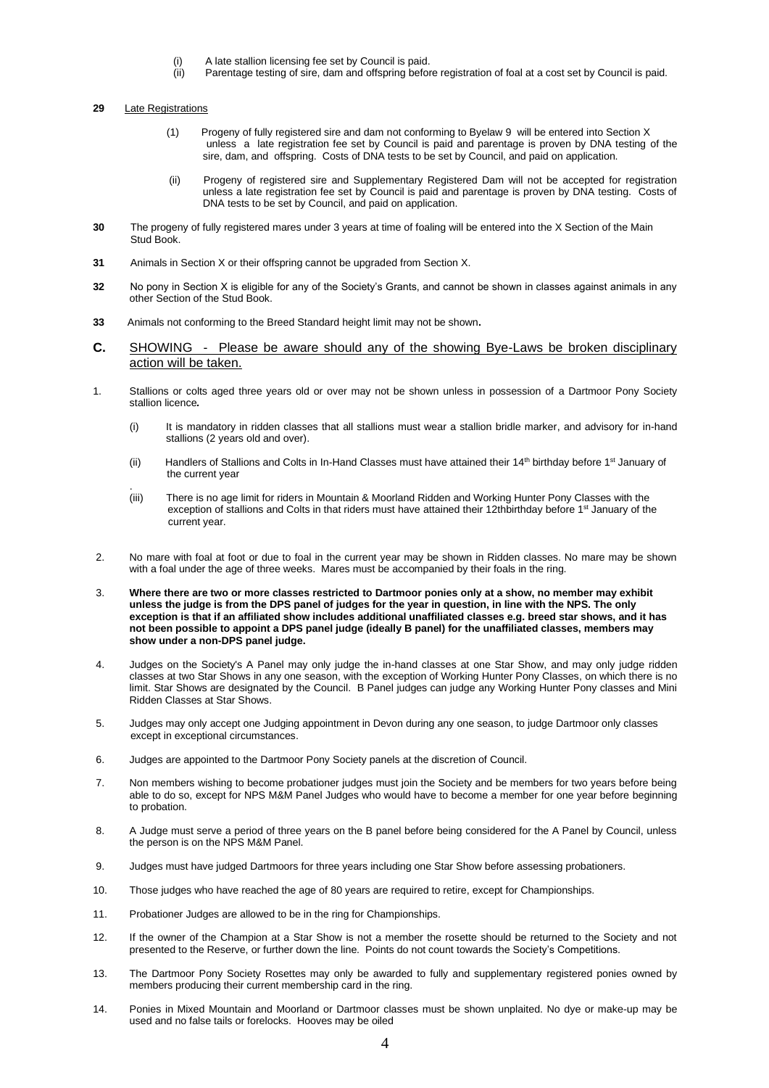- (i) A late stallion licensing fee set by Council is paid.<br>(ii) Parentage testing of sire, dam and offspring before
- Parentage testing of sire, dam and offspring before registration of foal at a cost set by Council is paid.

#### **29** Late Registrations

- (1) Progeny of fully registered sire and dam not conforming to Byelaw 9 will be entered into Section X unless a late registration fee set by Council is paid and parentage is proven by DNA testing of the sire, dam, andoffspring. Costs of DNA tests to be set by Council, and paid on application.
- (ii) Progeny of registered sire and Supplementary Registered Dam will not be accepted for registration unless a late registration fee set by Council is paid and parentage is proven by DNA testing. Costs of DNA tests to be set by Council, and paid on application.
- **30**The progeny of fully registered mares under 3 years at time of foaling will be entered into the X Section of the Main Stud Book.
- **31**Animals in Section X or their offspring cannot be upgraded from Section X.
- **32**No pony in Section X is eligible for any of the Society's Grants, and cannot be shown in classes against animals in any other Section of the Stud Book.
- 33 **33**Animals not conforming to the Breed Standard height limit may not be shown**.**
- **C.** SHOWING Please be aware should any of the showing Bye-Laws be broken disciplinary action will be taken.
- 1. Stallions or colts aged three years old or over may not be shown unless in possession of a Dartmoor Pony Society stallion licence*.*
	- (i) It is mandatory in ridden classes that all stallions must wear a stallion bridle marker, and advisory for in-hand stallions (2 years old and over).
	- (ii) Handlers of Stallions and Colts in In-Hand Classes must have attained their  $14<sup>th</sup>$  birthday before  $1<sup>st</sup>$  January of the current year
	- $(iii)$ There is no age limit for riders in Mountain & Moorland Ridden and Working Hunter Pony Classes with the exception of stallions and Colts in that riders must have attained their 12thbirthday before 1<sup>st</sup> January of the current year.
- 2. No mare with foal at foot or due to foal in the current year may be shown in Ridden classes. No mare may be shown with a foal under the age of three weeks. Mares must be accompanied by their foals in the ring.
- 3. **Where there are two or more classes restricted to Dartmoor ponies only at a show, no member may exhibit unless the judge is from the DPS panel of judges for the year in question, in line with the NPS. The only exception is that if an affiliated show includes additional unaffiliated classes e.g. breed star shows, and it has not been possible to appoint a DPS panel judge (ideally B panel) for the unaffiliated classes, members may show under a non-DPS panel judge.**
- 4. Judges on the Society's A Panel may only judge the in-hand classes at one Star Show, and may only judge ridden classes at two Star Shows in any one season, with the exception of Working Hunter Pony Classes, on which there is no limit. Star Shows are designated by the Council. B Panel judges can judge any Working Hunter Pony classes and Mini Ridden Classes at Star Shows.
- 5. Judges may only accept one Judging appointment in Devon during any one season, to judge Dartmoor only classes except in exceptional circumstances.
- 6. Judges are appointed to the Dartmoor Pony Society panels at the discretion of Council.
- 7. Non members wishing to become probationer judges must join the Society and be members for two years before being able to do so, except for NPS M&M Panel Judges who would have to become a member for one year before beginning to probation.
- 8. A Judge must serve a period of three years on the B panel before being considered for the A Panel by Council, unless the person is on the NPS M&M Panel.
- 9. Judges must have judged Dartmoors for three years including one Star Show before assessing probationers.
- 10. Those judges who have reached the age of 80 years are required to retire, except for Championships.
- 11. Probationer Judges are allowed to be in the ring for Championships.
- 12. If the owner of the Champion at a Star Show is not a member the rosette should be returned to the Society and not presented to the Reserve, or further down the line. Points do not count towards the Society's Competitions.
- 13. The Dartmoor Pony Society Rosettes may only be awarded to fully and supplementary registered ponies owned by members producing their current membership card in the ring.
- 14. Ponies in Mixed Mountain and Moorland or Dartmoor classes must be shown unplaited. No dye or make-up may be used and no false tails or forelocks. Hooves may be oiled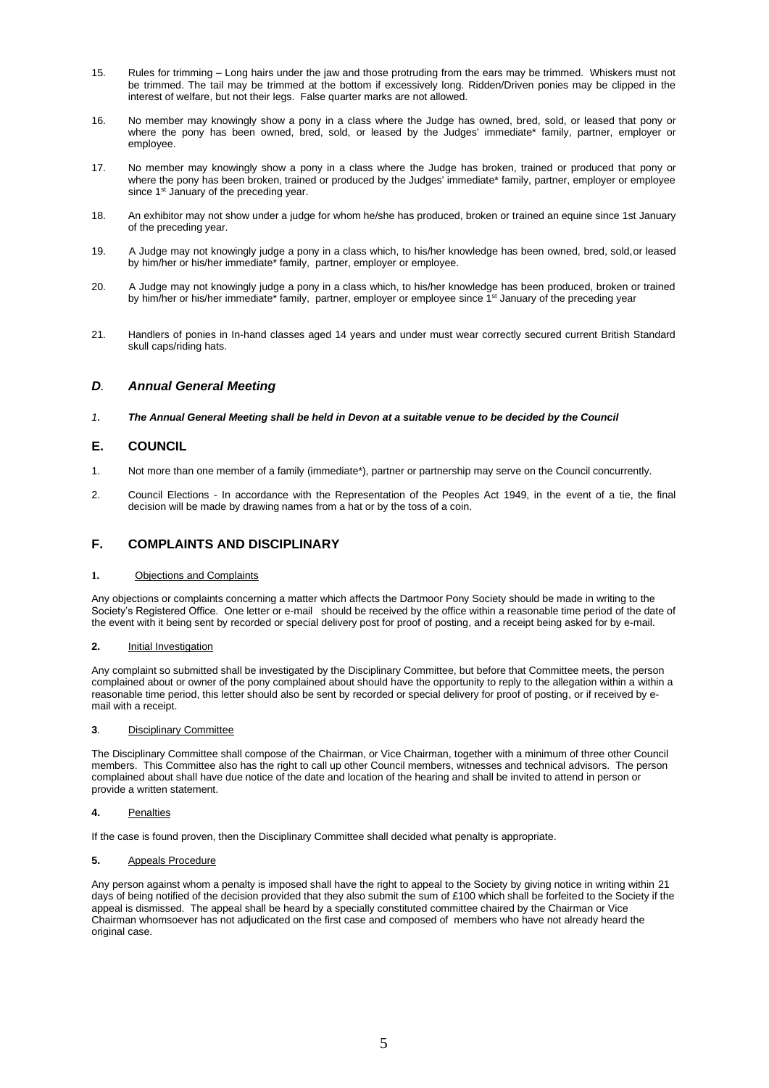- 15. Rules for trimming Long hairs under the jaw and those protruding from the ears may be trimmed. Whiskers must not be trimmed. The tail may be trimmed at the bottom if excessively long. Ridden/Driven ponies may be clipped in the interest of welfare, but not their legs. False quarter marks are not allowed.
- 16. No member may knowingly show a pony in a class where the Judge has owned, bred, sold, or leased that pony or where the pony has been owned, bred, sold, or leased by the Judges' immediate\* family, partner, employer or employee.
- 17. No member may knowingly show a pony in a class where the Judge has broken, trained or produced that pony or where the pony has been broken, trained or produced by the Judges' immediate\* family, partner, employer or employee since 1<sup>st</sup> January of the preceding year.
- 18. An exhibitor may not show under a judge for whom he/she has produced, broken or trained an equine since 1st January of the preceding year.
- 19. A Judge may not knowingly judge a pony in a class which, to his/her knowledge has been owned, bred, sold,or leased by him/her or his/her immediate\* family, partner, employer or employee.
- 20. A Judge may not knowingly judge a pony in a class which, to his/her knowledge has been produced, broken or trained by him/her or his/her immediate\* family, partner, employer or employee since 1<sup>st</sup> January of the preceding year
- 21. Handlers of ponies in In-hand classes aged 14 years and under must wear correctly secured current British Standard skull caps/riding hats.

## *D. Annual General Meeting*

*1. The Annual General Meeting shall be held in Devon at a suitable venue to be decided by the Council*

## **E. COUNCIL**

- 1. Not more than one member of a family (immediate\*), partner or partnership may serve on the Council concurrently.
- 2. Council Elections In accordance with the Representation of the Peoples Act 1949, in the event of a tie, the final decision will be made by drawing names from a hat or by the toss of a coin.

## **F. COMPLAINTS AND DISCIPLINARY**

### **1.** Objections and Complaints

Any objections or complaints concerning a matter which affects the Dartmoor Pony Society should be made in writing to the Society's Registered Office. One letter or e-mail should be received by the office within a reasonable time period of the date of the event with it being sent by recorded or special delivery post for proof of posting, and a receipt being asked for by e-mail.

## **2.** Initial Investigation

Any complaint so submitted shall be investigated by the Disciplinary Committee, but before that Committee meets, the person complained about or owner of the pony complained about should have the opportunity to reply to the allegation within a within a reasonable time period, this letter should also be sent by recorded or special delivery for proof of posting, or if received by email with a receipt.

### **3**. Disciplinary Committee

The Disciplinary Committee shall compose of the Chairman, or Vice Chairman, together with a minimum of three other Council members. This Committee also has the right to call up other Council members, witnesses and technical advisors. The person complained about shall have due notice of the date and location of the hearing and shall be invited to attend in person or provide a written statement.

### **4.** Penalties

If the case is found proven, then the Disciplinary Committee shall decided what penalty is appropriate.

**5.** Appeals Procedure

Any person against whom a penalty is imposed shall have the right to appeal to the Society by giving notice in writing within 21 days of being notified of the decision provided that they also submit the sum of £100 which shall be forfeited to the Society if the appeal is dismissed. The appeal shall be heard by a specially constituted committee chaired by the Chairman or Vice Chairman whomsoever has not adjudicated on the first case and composed of members who have not already heard the original case.